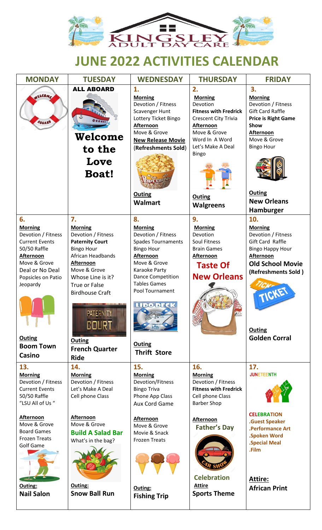

# **JUNE 2022 ACTIVITIES CALENDAR**

| <b>MONDAY</b>                        | <b>TUESDAY</b>                       | <b>WEDNESDAY</b>                   | <b>THURSDAY</b>                          | <b>FRIDAY</b>                      |
|--------------------------------------|--------------------------------------|------------------------------------|------------------------------------------|------------------------------------|
|                                      | <b>ALL ABOARD</b>                    | 1.                                 | 2.                                       | 3.                                 |
| NELCOME.                             |                                      | <b>Morning</b>                     | <b>Morning</b>                           | <b>Morning</b>                     |
|                                      |                                      | Devotion / Fitness                 | Devotion                                 | Devotion / Fitness                 |
|                                      |                                      | Scavenger Hunt                     | <b>Fitness with Fredrick</b>             | <b>Gift Card Raffle</b>            |
| <b>ABOARD</b>                        |                                      | Lottery Ticket Bingo<br>Afternoon  | <b>Crescent City Trivia</b><br>Afternoon | <b>Price is Right Game</b><br>Show |
|                                      |                                      | Move & Grove                       | Move & Grove                             | Afternoon                          |
|                                      | Welcome                              | <b>New Release Movie</b>           | Word In A Word                           | Move & Grove                       |
|                                      | to the                               | (Refreshments Sold)                | Let's Make A Deal                        | <b>Bingo Hour</b>                  |
|                                      |                                      |                                    | <b>Bingo</b>                             |                                    |
|                                      | Love                                 |                                    |                                          |                                    |
|                                      | <b>Boat!</b>                         |                                    |                                          |                                    |
|                                      |                                      |                                    |                                          |                                    |
|                                      |                                      | <b>Outing</b>                      |                                          | Outing                             |
|                                      |                                      | <b>Walmart</b>                     | <b>Outing</b>                            | <b>New Orleans</b>                 |
|                                      |                                      |                                    | <b>Walgreens</b>                         | Hamburger                          |
| 6.                                   | 7.                                   | 8.                                 | 9.                                       | 10.                                |
| <b>Morning</b>                       | <b>Morning</b>                       | <b>Morning</b>                     | <b>Morning</b>                           | <b>Morning</b>                     |
| Devotion / Fitness                   | Devotion / Fitness                   | Devotion / Fitness                 | Devotion                                 | Devotion / Fitness                 |
| <b>Current Events</b>                | <b>Paternity Court</b>               | <b>Spades Tournaments</b>          | Soul Fitness                             | Gift Card Raffle                   |
| 50/50 Raffle                         | <b>Bingo Hour</b>                    | <b>Bingo Hour</b>                  | <b>Brain Games</b>                       | <b>Bingo Happy Hour</b>            |
| Afternoon                            | African Headbands                    | Afternoon                          | <b>Afternoon</b>                         | Afternoon                          |
| Move & Grove<br>Deal or No Deal      | Afternoon<br>Move & Grove            | Move & Grove<br>Karaoke Party      | <b>Taste Of</b>                          | <b>Old School Movie</b>            |
| Popsicles on Patio                   | Whose Line is it?                    | <b>Dance Competition</b>           | <b>New Orleans</b>                       | (Refreshments Sold)                |
| Jeopardy                             | True or False                        | <b>Tables Games</b>                |                                          |                                    |
|                                      | <b>Birdhouse Craft</b>               | Pool Tournament                    |                                          | TIGKET                             |
|                                      |                                      | <b>THEODECK</b>                    |                                          |                                    |
|                                      | <b>PATERNITY</b>                     |                                    |                                          |                                    |
|                                      |                                      |                                    |                                          |                                    |
|                                      | <b>COURT</b>                         |                                    |                                          | <b>Outing</b>                      |
| <b>Outing</b>                        |                                      |                                    |                                          | <b>Golden Corral</b>               |
| <b>Boom Town</b>                     | <b>Outing</b>                        | Outing                             |                                          |                                    |
| <b>Casino</b>                        | <b>French Quarter</b>                | <b>Thrift Store</b>                |                                          |                                    |
|                                      | <b>Ride</b>                          |                                    |                                          |                                    |
| 13.                                  | 14.                                  | 15.                                | 16.                                      | 17.<br><b>JUNETEENTH</b>           |
| <b>Morning</b><br>Devotion / Fitness | <b>Morning</b><br>Devotion / Fitness | <b>Morning</b><br>Devotion/Fitness | <b>Morning</b><br>Devotion / Fitness     |                                    |
| <b>Current Events</b>                | Let's Make A Deal                    | <b>Bingo Triva</b>                 | <b>Fitness with Fredrick</b>             |                                    |
| 50/50 Raffle                         | Cell phone Class                     | Phone App Class                    | Cell phone Class                         |                                    |
| "LSU All of Us"                      |                                      | Aux Cord Game                      | <b>Barber Shop</b>                       |                                    |
|                                      |                                      |                                    |                                          | <b>CELEBRATION</b>                 |
| Afternoon<br>Move & Grove            | Afternoon<br>Move & Grove            | Afternoon<br>Move & Grove          | Afternoon                                | <b>.Guest Speaker</b>              |
| <b>Board Games</b>                   | <b>Build A Salad Bar</b>             | Movie & Snack                      | <b>Father's Day</b>                      | <b>.Performance Art</b>            |
| <b>Frozen Treats</b>                 | What's in the bag?                   | <b>Frozen Treats</b>               |                                          | .Spoken Word                       |
| <b>Golf Game</b>                     |                                      |                                    |                                          | <b>Special Meal</b><br>.Film       |
|                                      |                                      |                                    |                                          |                                    |
|                                      |                                      |                                    |                                          |                                    |
|                                      |                                      |                                    |                                          |                                    |
|                                      |                                      |                                    | <b>Celebration</b>                       | Attire:                            |
| Outing:<br><b>Nail Salon</b>         | Outing:<br><b>Snow Ball Run</b>      | Outing:                            | <b>Attire</b><br><b>Sports Theme</b>     | <b>African Print</b>               |
|                                      |                                      | <b>Fishing Trip</b>                |                                          |                                    |
|                                      |                                      |                                    |                                          |                                    |